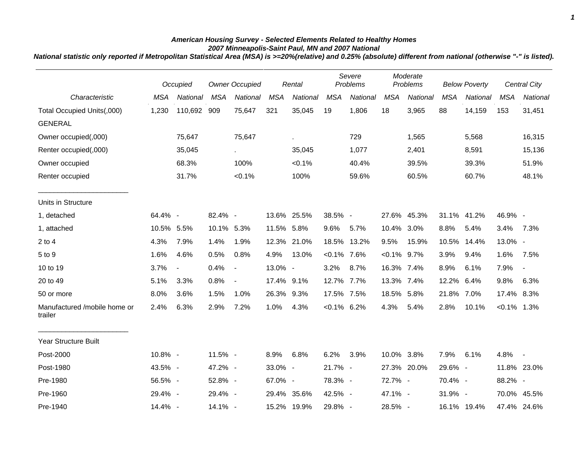## *American Housing Survey - Selected Elements Related to Healthy Homes 2007 Minneapolis-Saint Paul, MN and 2007 National*

*National statistic only reported if Metropolitan Statistical Area (MSA) is >=20%(relative) and 0.25% (absolute) different from national (otherwise "-" is listed).*

|                                         |            | Occupied                 |            | <b>Owner Occupied</b>    |            | Rental      |                | Severe<br>Problems |                | Moderate<br>Problems |            | <b>Below Poverty</b> |                | Central City |
|-----------------------------------------|------------|--------------------------|------------|--------------------------|------------|-------------|----------------|--------------------|----------------|----------------------|------------|----------------------|----------------|--------------|
| Characteristic                          | <b>MSA</b> | National                 | <b>MSA</b> | National                 | <b>MSA</b> | National    | <b>MSA</b>     | National           | <b>MSA</b>     | National             | <b>MSA</b> | National             | <b>MSA</b>     | National     |
| Total Occupied Units(,000)              | 1,230      | 110,692 909              |            | 75,647                   | 321        | 35,045      | 19             | 1,806              | 18             | 3,965                | 88         | 14,159               | 153            | 31,451       |
| <b>GENERAL</b>                          |            |                          |            |                          |            |             |                |                    |                |                      |            |                      |                |              |
| Owner occupied(,000)                    |            | 75,647                   |            | 75,647                   |            | ä,          |                | 729                |                | 1,565                |            | 5,568                |                | 16,315       |
| Renter occupied(,000)                   |            | 35,045                   |            | $\mathbf{r}$             |            | 35,045      |                | 1,077              |                | 2,401                |            | 8,591                |                | 15,136       |
| Owner occupied                          |            | 68.3%                    |            | 100%                     |            | $< 0.1\%$   |                | 40.4%              |                | 39.5%                |            | 39.3%                |                | 51.9%        |
| Renter occupied                         |            | 31.7%                    |            | $< 0.1\%$                |            | 100%        |                | 59.6%              |                | 60.5%                |            | 60.7%                |                | 48.1%        |
| Units in Structure                      |            |                          |            |                          |            |             |                |                    |                |                      |            |                      |                |              |
| 1, detached                             | 64.4% -    |                          | 82.4% -    |                          |            | 13.6% 25.5% | 38.5% -        |                    |                | 27.6% 45.3%          |            | 31.1% 41.2%          | 46.9% -        |              |
| 1, attached                             | 10.5% 5.5% |                          | 10.1% 5.3% |                          | 11.5% 5.8% |             | 9.6%           | 5.7%               | 10.4% 3.0%     |                      | 8.8%       | 5.4%                 | 3.4%           | 7.3%         |
| $2$ to $4$                              | 4.3%       | 7.9%                     | 1.4%       | 1.9%                     |            | 12.3% 21.0% |                | 18.5% 13.2%        | 9.5%           | 15.9%                | 10.5%      | 14.4%                | 13.0% -        |              |
| 5 to 9                                  | 1.6%       | 4.6%                     | 0.5%       | 0.8%                     | 4.9%       | 13.0%       | $< 0.1\%$ 7.6% |                    | $< 0.1\%$ 9.7% |                      | 3.9%       | 9.4%                 | 1.6%           | 7.5%         |
| 10 to 19                                | 3.7%       | $\overline{\phantom{a}}$ | 0.4%       | $\overline{\phantom{a}}$ | 13.0% -    |             | 3.2%           | 8.7%               | 16.3% 7.4%     |                      | 8.9%       | 6.1%                 | 7.9%           |              |
| 20 to 49                                | 5.1%       | 3.3%                     | 0.8%       | $\blacksquare$           | 17.4% 9.1% |             | 12.7% 7.7%     |                    | 13.3% 7.4%     |                      | 12.2%      | 6.4%                 | 9.8%           | 6.3%         |
| 50 or more                              | 8.0%       | 3.6%                     | 1.5%       | 1.0%                     | 26.3% 9.3% |             | 17.5% 7.5%     |                    | 18.5% 5.8%     |                      | 21.8% 7.0% |                      | 17.4% 8.3%     |              |
| Manufactured /mobile home or<br>trailer | 2.4%       | 6.3%                     | 2.9%       | 7.2%                     | 1.0%       | 4.3%        | $< 0.1\%$ 6.2% |                    | 4.3%           | 5.4%                 | 2.8%       | 10.1%                | $< 0.1\%$ 1.3% |              |
| Year Structure Built                    |            |                          |            |                          |            |             |                |                    |                |                      |            |                      |                |              |
| Post-2000                               | 10.8% -    |                          | 11.5% -    |                          | 8.9%       | 6.8%        | 6.2%           | 3.9%               | 10.0% 3.8%     |                      | 7.9%       | 6.1%                 | 4.8%           | $\sim$       |
| Post-1980                               | 43.5% -    |                          | 47.2% -    |                          | 33.0% -    |             | 21.7% -        |                    |                | 27.3% 20.0%          | 29.6% -    |                      |                | 11.8% 23.0%  |
| Pre-1980                                | 56.5% -    |                          | 52.8% -    |                          | 67.0% -    |             | 78.3% -        |                    | 72.7% -        |                      | 70.4% -    |                      | 88.2% -        |              |
| Pre-1960                                | 29.4% -    |                          | 29.4% -    |                          |            | 29.4% 35.6% | 42.5% -        |                    | 47.1% -        |                      | 31.9% -    |                      |                | 70.0% 45.5%  |
| Pre-1940                                | 14.4% -    |                          | 14.1% -    |                          |            | 15.2% 19.9% | 29.8% -        |                    | 28.5% -        |                      |            | 16.1% 19.4%          |                | 47.4% 24.6%  |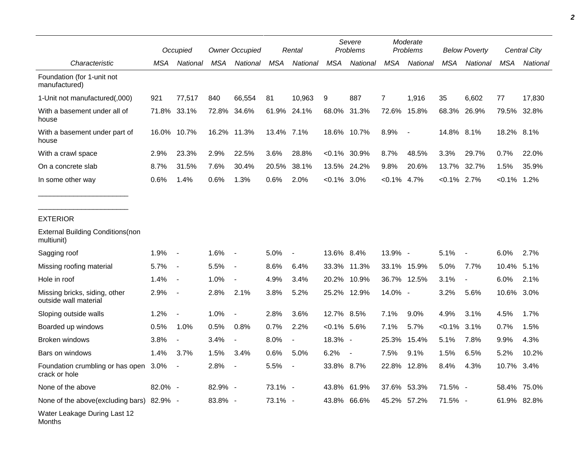|                                                        |             | Occupied                 |         | <b>Owner Occupied</b>    |            | Rental         | Severe<br>Problems |                 |            | Moderate<br>Problems |            | <b>Below Poverty</b>     |            | Central City |
|--------------------------------------------------------|-------------|--------------------------|---------|--------------------------|------------|----------------|--------------------|-----------------|------------|----------------------|------------|--------------------------|------------|--------------|
| Characteristic                                         | MSA         | National                 | MSA     | National                 | <b>MSA</b> | National       | <b>MSA</b>         | National        | <b>MSA</b> | National             | MSA        | National                 | <b>MSA</b> | National     |
| Foundation (for 1-unit not<br>manufactured)            |             |                          |         |                          |            |                |                    |                 |            |                      |            |                          |            |              |
| 1-Unit not manufactured(,000)                          | 921         | 77,517                   | 840     | 66,554                   | 81         | 10,963         | 9                  | 887             | 7          | 1,916                | 35         | 6,602                    | 77         | 17,830       |
| With a basement under all of<br>house                  | 71.8% 33.1% |                          | 72.8%   | 34.6%                    | 61.9%      | 24.1%          | 68.0%              | 31.3%           | 72.6%      | 15.8%                | 68.3%      | 26.9%                    |            | 79.5% 32.8%  |
| With a basement under part of<br>house                 | 16.0%       | 10.7%                    |         | 16.2% 11.3%              | 13.4% 7.1% |                |                    | 18.6% 10.7%     | 8.9%       |                      | 14.8% 8.1% |                          | 18.2% 8.1% |              |
| With a crawl space                                     | 2.9%        | 23.3%                    | 2.9%    | 22.5%                    | 3.6%       | 28.8%          |                    | $< 0.1\%$ 30.9% | 8.7%       | 48.5%                | 3.3%       | 29.7%                    | 0.7%       | 22.0%        |
| On a concrete slab                                     | 8.7%        | 31.5%                    | 7.6%    | 30.4%                    | 20.5%      | 38.1%          | 13.5%              | 24.2%           | 9.8%       | 20.6%                | 13.7%      | 32.7%                    | 1.5%       | 35.9%        |
| In some other way                                      | 0.6%        | 1.4%                     | 0.6%    | 1.3%                     | 0.6%       | 2.0%           | $< 0.1\%$ 3.0%     |                 | $< 0.1\%$  | 4.7%                 | $< 0.1\%$  | 2.7%                     | $< 0.1\%$  | 1.2%         |
| <b>EXTERIOR</b>                                        |             |                          |         |                          |            |                |                    |                 |            |                      |            |                          |            |              |
| <b>External Building Conditions (non</b><br>multiunit) |             |                          |         |                          |            |                |                    |                 |            |                      |            |                          |            |              |
| Sagging roof                                           | 1.9%        | $\blacksquare$           | 1.6%    | $\overline{\phantom{a}}$ | 5.0%       | $\blacksquare$ | 13.6% 8.4%         |                 | 13.9% -    |                      | 5.1%       | $\overline{\phantom{a}}$ | 6.0%       | 2.7%         |
| Missing roofing material                               | 5.7%        | $\overline{\phantom{a}}$ | 5.5%    | $\blacksquare$           | 8.6%       | 6.4%           |                    | 33.3% 11.3%     | 33.1%      | 15.9%                | 5.0%       | 7.7%                     | 10.4%      | 5.1%         |
| Hole in roof                                           | 1.4%        | $\sim$                   | 1.0%    |                          | 4.9%       | 3.4%           |                    | 20.2% 10.9%     |            | 36.7% 12.5%          | 3.1%       |                          | 6.0%       | 2.1%         |
| Missing bricks, siding, other<br>outside wall material | 2.9%        | $\blacksquare$           | 2.8%    | 2.1%                     | 3.8%       | 5.2%           |                    | 25.2% 12.9%     | 14.0% -    |                      | 3.2%       | 5.6%                     | 10.6% 3.0% |              |
| Sloping outside walls                                  | 1.2%        | $\blacksquare$           | 1.0%    | $\blacksquare$           | 2.8%       | 3.6%           | 12.7% 8.5%         |                 | 7.1%       | 9.0%                 | 4.9%       | 3.1%                     | 4.5%       | 1.7%         |
| Boarded up windows                                     | 0.5%        | 1.0%                     | 0.5%    | 0.8%                     | 0.7%       | 2.2%           | $< 0.1\%$ 5.6%     |                 | 7.1%       | 5.7%                 | $< 0.1\%$  | 3.1%                     | 0.7%       | 1.5%         |
| Broken windows                                         | 3.8%        | $\overline{\phantom{a}}$ | 3.4%    | $\blacksquare$           | 8.0%       | $\blacksquare$ | 18.3% -            |                 | 25.3%      | 15.4%                | 5.1%       | 7.8%                     | 9.9%       | 4.3%         |
| Bars on windows                                        | 1.4%        | 3.7%                     | 1.5%    | 3.4%                     | 0.6%       | 5.0%           | 6.2%               |                 | 7.5%       | 9.1%                 | 1.5%       | 6.5%                     | 5.2%       | 10.2%        |
| Foundation crumbling or has open 3.0%<br>crack or hole |             |                          | 2.8%    |                          | 5.5%       |                | 33.8% 8.7%         |                 |            | 22.8% 12.8%          | 8.4%       | 4.3%                     | 10.7%      | 3.4%         |
| None of the above                                      | 82.0% -     |                          | 82.9% - |                          | 73.1% -    |                |                    | 43.8% 61.9%     |            | 37.6% 53.3%          | 71.5% -    |                          |            | 58.4% 75.0%  |
| None of the above(excluding bars) 82.9% -              |             |                          | 83.8% - |                          | 73.1% -    |                |                    | 43.8% 66.6%     |            | 45.2% 57.2%          | 71.5% -    |                          |            | 61.9% 82.8%  |
| Water Leakage During Last 12<br>Months                 |             |                          |         |                          |            |                |                    |                 |            |                      |            |                          |            |              |

*2*

 $\overline{\phantom{0}}$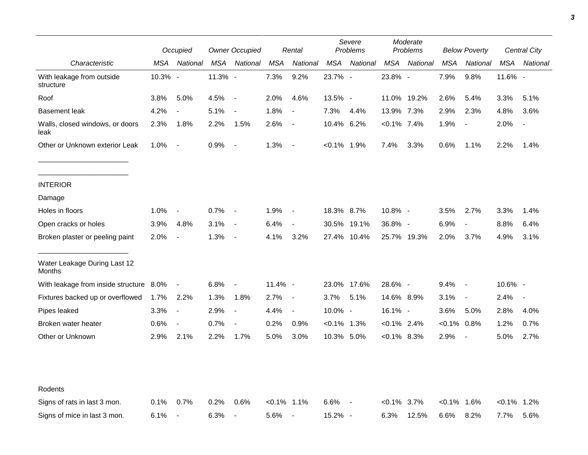|                                         | Occupied |                          |         | <b>Owner Occupied</b>    |                | Rental                   | Severe<br>Moderate<br>Problems<br>Problems<br><b>Below Poverty</b> |             |                |             | <b>Central City</b> |                          |               |                          |
|-----------------------------------------|----------|--------------------------|---------|--------------------------|----------------|--------------------------|--------------------------------------------------------------------|-------------|----------------|-------------|---------------------|--------------------------|---------------|--------------------------|
| Characteristic                          | MSA      | National                 | MSA     | National                 | MSA            | National                 | MSA                                                                | National    | MSA            | National    | MSA                 | National                 | MSA           | National                 |
| With leakage from outside<br>structure  | 10.3% -  |                          | 11.3% - |                          | 7.3%           | 9.2%                     | 23.7% -                                                            |             | 23.8% -        |             | 7.9%                | 9.8%                     | 11.6% -       |                          |
| Roof                                    | 3.8%     | 5.0%                     | 4.5%    | $\overline{\phantom{a}}$ | 2.0%           | 4.6%                     | 13.5% -                                                            |             |                | 11.0% 19.2% | 2.6%                | 5.4%                     | 3.3%          | 5.1%                     |
| <b>Basement leak</b>                    | 4.2%     | $\overline{\phantom{a}}$ | 5.1%    | $\overline{\phantom{a}}$ | 1.8%           | $\blacksquare$           | 7.3%                                                               | 4.4%        | 13.9% 7.3%     |             | 2.9%                | 2.3%                     | 4.8%          | 3.6%                     |
| Walls, closed windows, or doors<br>leak | 2.3%     | 1.8%                     | 2.2%    | 1.5%                     | 2.6%           | $\overline{\phantom{a}}$ | 10.4% 6.2%                                                         |             | $< 0.1\%$ 7.4% |             | 1.9%                | $\overline{\phantom{a}}$ | 2.0%          | $\overline{\phantom{a}}$ |
| Other or Unknown exterior Leak          | 1.0%     | $\sim$                   | 0.9%    | $\overline{\phantom{a}}$ | 1.3%           | $\overline{\phantom{a}}$ | $< 0.1\%$ 1.9%                                                     |             | 7.4%           | 3.3%        | 0.6%                | 1.1%                     | 2.2%          | 1.4%                     |
| <b>INTERIOR</b>                         |          |                          |         |                          |                |                          |                                                                    |             |                |             |                     |                          |               |                          |
| Damage                                  |          |                          |         |                          |                |                          |                                                                    |             |                |             |                     |                          |               |                          |
| Holes in floors                         | 1.0%     | $\overline{\phantom{a}}$ | 0.7%    | $\sim$                   | 1.9%           | $\overline{\phantom{a}}$ | 18.3% 8.7%                                                         |             | 10.8% -        |             | 3.5%                | 2.7%                     | 3.3%          | 1.4%                     |
| Open cracks or holes                    | 3.9%     | 4.8%                     | 3.1%    | $\sim$                   | 6.4%           | $\overline{\phantom{a}}$ |                                                                    | 30.5% 19.1% | 36.8% -        |             | 6.9%                | $\overline{\phantom{a}}$ | 8.8%          | 6.4%                     |
| Broken plaster or peeling paint         | 2.0%     | $\overline{\phantom{a}}$ | 1.3%    | $\overline{\phantom{a}}$ | 4.1%           | 3.2%                     |                                                                    | 27.4% 10.4% |                | 25.7% 19.3% | 2.0%                | 3.7%                     | 4.9%          | 3.1%                     |
| Water Leakage During Last 12<br>Months  |          |                          |         |                          |                |                          |                                                                    |             |                |             |                     |                          |               |                          |
| With leakage from inside structure 8.0% |          | $\blacksquare$           | 6.8%    | $\overline{\phantom{a}}$ | 11.4% -        |                          |                                                                    | 23.0% 17.6% | 28.6% -        |             | 9.4%                | $\sim$                   | 10.6% -       |                          |
| Fixtures backed up or overflowed        | 1.7%     | 2.2%                     | 1.3%    | 1.8%                     | 2.7%           | $\overline{\phantom{a}}$ | 3.7%                                                               | 5.1%        | 14.6% 8.9%     |             | 3.1%                | $\overline{\phantom{a}}$ | 2.4%          | $\overline{\phantom{a}}$ |
| Pipes leaked                            | 3.3%     | $\overline{\phantom{a}}$ | 2.9%    | $\overline{\phantom{a}}$ | 4.4%           | $\blacksquare$           | 10.0% -                                                            |             | 16.1% -        |             | 3.6%                | 5.0%                     | 2.8%          | 4.0%                     |
| Broken water heater                     | 0.6%     | $\overline{\phantom{a}}$ | 0.7%    | $\overline{a}$           | 0.2%           | 0.9%                     | $< 0.1\%$ 1.3%                                                     |             | $< 0.1\%$ 2.4% |             | $< 0.1\%$           | $0.8\%$                  | 1.2%          | 0.7%                     |
| Other or Unknown                        | 2.9%     | 2.1%                     | 2.2%    | 1.7%                     | 5.0%           | 3.0%                     | 10.3% 5.0%                                                         |             | $<0.1\%$ 8.3%  |             | 2.9%                | $\overline{\phantom{a}}$ | 5.0%          | 2.7%                     |
| Rodents                                 |          |                          |         |                          |                |                          |                                                                    |             |                |             |                     |                          |               |                          |
| Signs of rats in last 3 mon.            | 0.1%     | 0.7%                     | 0.2%    | 0.6%                     | $< 0.1\%$ 1.1% |                          | 6.6%                                                               |             | $<0.1\%$ 3.7%  |             | <0.1% 1.6%          |                          | $<0.1\%$ 1.2% |                          |
| Signs of mice in last 3 mon.            | 6.1%     | $\overline{\phantom{a}}$ | 6.3%    | $\overline{\phantom{a}}$ | 5.6%           | $\blacksquare$           | 15.2% -                                                            |             | 6.3%           | 12.5%       | 6.6%                | 8.2%                     | 7.7%          | 5.6%                     |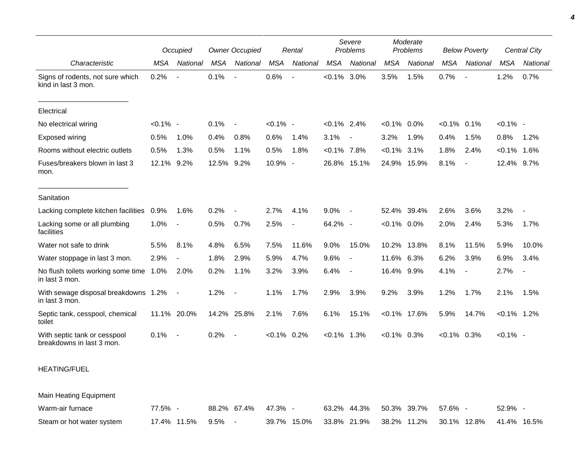|                                                           |             | Occupied                 |            | <b>Owner Occupied</b> |                | Rental         |                | Severe<br>Problems       |                | Moderate<br>Problems |                | <b>Below Poverty</b>     |                | Central City   |
|-----------------------------------------------------------|-------------|--------------------------|------------|-----------------------|----------------|----------------|----------------|--------------------------|----------------|----------------------|----------------|--------------------------|----------------|----------------|
| Characteristic                                            | <b>MSA</b>  | <b>National</b>          | <b>MSA</b> | National              | <b>MSA</b>     | National       | <b>MSA</b>     | National                 | <b>MSA</b>     | National             | <b>MSA</b>     | National                 | <b>MSA</b>     | National       |
| Signs of rodents, not sure which<br>kind in last 3 mon.   | 0.2%        | $\sim$                   | 0.1%       | $\overline{a}$        | 0.6%           |                | $< 0.1\%$ 3.0% |                          | 3.5%           | 1.5%                 | 0.7%           | $\overline{\phantom{a}}$ | 1.2%           | 0.7%           |
| Electrical                                                |             |                          |            |                       |                |                |                |                          |                |                      |                |                          |                |                |
| No electrical wiring                                      | $< 0.1\%$ - |                          | 0.1%       | $\sim$                | $< 0.1\%$ -    |                | $< 0.1\%$ 2.4% |                          | $< 0.1\%$ 0.0% |                      | $< 0.1\%$ 0.1% |                          | $< 0.1\%$ -    |                |
| Exposed wiring                                            | 0.5%        | 1.0%                     | 0.4%       | 0.8%                  | 0.6%           | 1.4%           | 3.1%           | $\overline{\phantom{a}}$ | 3.2%           | 1.9%                 | 0.4%           | 1.5%                     | 0.8%           | 1.2%           |
| Rooms without electric outlets                            | 0.5%        | 1.3%                     | 0.5%       | 1.1%                  | 0.5%           | 1.8%           | $< 0.1\%$ 7.8% |                          | $< 0.1\%$      | 3.1%                 | 1.8%           | 2.4%                     | $< 0.1\%$      | 1.6%           |
| Fuses/breakers blown in last 3<br>mon.                    | 12.1%       | 9.2%                     | 12.5%      | 9.2%                  | 10.9% -        |                |                | 26.8% 15.1%              |                | 24.9% 15.9%          | 8.1%           | $\overline{\phantom{a}}$ | 12.4% 9.7%     |                |
| Sanitation                                                |             |                          |            |                       |                |                |                |                          |                |                      |                |                          |                |                |
| Lacking complete kitchen facilities                       | 0.9%        | 1.6%                     | 0.2%       |                       | 2.7%           | 4.1%           | 9.0%           | $\blacksquare$           |                | 52.4% 39.4%          | 2.6%           | 3.6%                     | 3.2%           |                |
| Lacking some or all plumbing<br>facilities                | 1.0%        | $\overline{\phantom{a}}$ | 0.5%       | 0.7%                  | 2.5%           | $\blacksquare$ | 64.2% -        |                          | $< 0.1\%$ 0.0% |                      | 2.0%           | 2.4%                     | 5.3%           | 1.7%           |
| Water not safe to drink                                   | 5.5%        | 8.1%                     | 4.8%       | 6.5%                  | 7.5%           | 11.6%          | 9.0%           | 15.0%                    | 10.2%          | 13.8%                | 8.1%           | 11.5%                    | 5.9%           | 10.0%          |
| Water stoppage in last 3 mon.                             | 2.9%        | $\blacksquare$           | 1.8%       | 2.9%                  | 5.9%           | 4.7%           | 9.6%           | $\blacksquare$           | 11.6% 6.3%     |                      | 6.2%           | 3.9%                     | 6.9%           | 3.4%           |
| No flush toilets working some time 1.0%<br>in last 3 mon. |             | 2.0%                     | 0.2%       | 1.1%                  | 3.2%           | 3.9%           | 6.4%           | $\overline{\phantom{a}}$ | 16.4% 9.9%     |                      | 4.1%           | $\overline{\phantom{a}}$ | 2.7%           | $\blacksquare$ |
| With sewage disposal breakdowns 1.2%<br>in last 3 mon.    |             | $\blacksquare$           | 1.2%       | $\sim$                | 1.1%           | 1.7%           | 2.9%           | 3.9%                     | 9.2%           | 3.9%                 | 1.2%           | 1.7%                     | 2.1%           | 1.5%           |
| Septic tank, cesspool, chemical<br>toilet                 |             | 11.1% 20.0%              |            | 14.2% 25.8%           | 2.1%           | 7.6%           | 6.1%           | 15.1%                    |                | $< 0.1\%$ 17.6%      | 5.9%           | 14.7%                    | $< 0.1\%$ 1.2% |                |
| With septic tank or cesspool<br>breakdowns in last 3 mon. | 0.1%        | $\overline{\phantom{a}}$ | 0.2%       | $\sim$                | $< 0.1\%$ 0.2% |                | $< 0.1\%$ 1.3% |                          | $< 0.1\%$ 0.3% |                      | $< 0.1\%$ 0.3% |                          | $< 0.1\%$ -    |                |
| <b>HEATING/FUEL</b>                                       |             |                          |            |                       |                |                |                |                          |                |                      |                |                          |                |                |

Main Heating Equipment

| Warm-air furnace          | 77.5%       | 88.2% 67.4% 47.3% - |  | 63.2% 44.3% 50.3% 39.7% 57.6% -                             | $52.9\%$ - |
|---------------------------|-------------|---------------------|--|-------------------------------------------------------------|------------|
| Steam or hot water system | 17.4% 11.5% | 9.5%                |  | 39.7% 15.0% 33.8% 21.9% 38.2% 11.2% 30.1% 12.8% 41.4% 16.5% |            |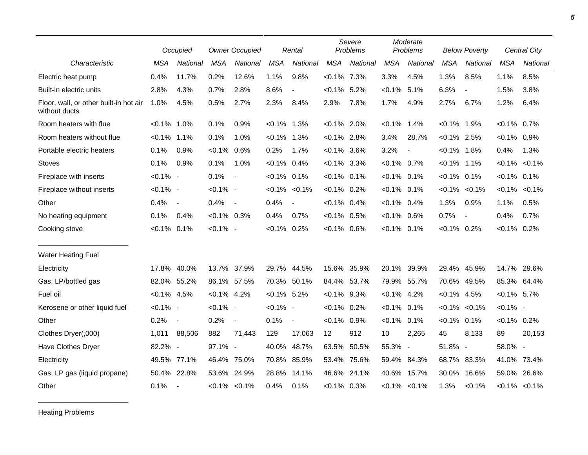|                                                         |                | Occupied                 | <b>Owner Occupied</b> |                          |                | Rental            | Severe<br>Problems |          |                | Moderate<br>Problems     |                | <b>Below Poverty</b>     |                | Central City        |
|---------------------------------------------------------|----------------|--------------------------|-----------------------|--------------------------|----------------|-------------------|--------------------|----------|----------------|--------------------------|----------------|--------------------------|----------------|---------------------|
| Characteristic                                          | <b>MSA</b>     | National                 | <b>MSA</b>            | National                 | <b>MSA</b>     | National          | <b>MSA</b>         | National | <b>MSA</b>     | National                 | <b>MSA</b>     | National                 | <b>MSA</b>     | National            |
| Electric heat pump                                      | 0.4%           | 11.7%                    | 0.2%                  | 12.6%                    | 1.1%           | 9.8%              | $< 0.1\%$ 7.3%     |          | 3.3%           | 4.5%                     | 1.3%           | 8.5%                     | 1.1%           | 8.5%                |
| Built-in electric units                                 | 2.8%           | 4.3%                     | 0.7%                  | 2.8%                     | 8.6%           | $\blacksquare$    | $< 0.1\%$ 5.2%     |          | $< 0.1\%$      | 5.1%                     | 6.3%           | $\overline{\phantom{a}}$ | 1.5%           | 3.8%                |
| Floor, wall, or other built-in hot air<br>without ducts | 1.0%           | 4.5%                     | 0.5%                  | 2.7%                     | 2.3%           | 8.4%              | 2.9%               | 7.8%     | 1.7%           | 4.9%                     | 2.7%           | 6.7%                     | 1.2%           | 6.4%                |
| Room heaters with flue                                  | $< 0.1\%$      | 1.0%                     | 0.1%                  | 0.9%                     | $< 0.1\%$ 1.3% |                   | $< 0.1\%$ 2.0%     |          | $< 0.1\%$      | 1.4%                     | $< 0.1\%$      | 1.9%                     | $< 0.1\%$ 0.7% |                     |
| Room heaters without flue                               | $< 0.1\%$ 1.1% |                          | 0.1%                  | 1.0%                     | $< 0.1\%$ 1.3% |                   | $< 0.1\%$ 2.8%     |          | 3.4%           | 28.7%                    | $< 0.1\%$ 2.5% |                          | $< 0.1\%$ 0.9% |                     |
| Portable electric heaters                               | 0.1%           | 0.9%                     | $< 0.1\%$ 0.6%        |                          | 0.2%           | 1.7%              | $< 0.1\%$ 3.6%     |          | 3.2%           | $\overline{\phantom{a}}$ | $< 0.1\%$      | 1.8%                     | 0.4%           | 1.3%                |
| <b>Stoves</b>                                           | 0.1%           | 0.9%                     | 0.1%                  | 1.0%                     | $< 0.1\%$ 0.4% |                   | $< 0.1\%$ 3.3%     |          | $< 0.1\%$ 0.7% |                          | $< 0.1\%$      | 1.1%                     | $< 0.1\%$      | $< 0.1\%$           |
| Fireplace with inserts                                  | $< 0.1\%$ -    |                          | 0.1%                  | $\sim$                   | $< 0.1\%$ 0.1% |                   | $< 0.1\%$ 0.1%     |          | $< 0.1\%$      | 0.1%                     | $< 0.1\%$      | 0.1%                     | $< 0.1\%$ 0.1% |                     |
| Fireplace without inserts                               | $< 0.1\%$ -    |                          | $< 0.1\%$ -           |                          |                | $< 0.1\% < 0.1\%$ | $< 0.1\%$ 0.2%     |          | $< 0.1\%$ 0.1% |                          | $< 0.1\%$      | $< 0.1\%$                | $< 0.1\%$      | $< 0.1\%$           |
| Other                                                   | 0.4%           | $\overline{\phantom{a}}$ | 0.4%                  | $\sim$                   | 0.4%           |                   | $< 0.1\%$ 0.4%     |          | $< 0.1\%$ 0.4% |                          | 1.3%           | 0.9%                     | 1.1%           | 0.5%                |
| No heating equipment                                    | 0.1%           | 0.4%                     | $< 0.1\%$ 0.3%        |                          | 0.4%           | 0.7%              | $< 0.1\%$ 0.5%     |          | $< 0.1\%$ 0.6% |                          | 0.7%           | $\overline{\phantom{a}}$ | 0.4%           | 0.7%                |
| Cooking stove                                           | $< 0.1\%$      | 0.1%                     | $< 0.1\%$ -           |                          | $< 0.1\%$ 0.2% |                   | $< 0.1\%$ 0.6%     |          | $< 0.1\%$ 0.1% |                          | $< 0.1\%$ 0.2% |                          | $< 0.1\%$ 0.2% |                     |
| <b>Water Heating Fuel</b>                               |                |                          |                       |                          |                |                   |                    |          |                |                          |                |                          |                |                     |
| Electricity                                             | 17.8%          | 40.0%                    | 13.7% 37.9%           |                          |                | 29.7% 44.5%       | 15.6%              | 35.9%    | 20.1%          | 39.9%                    | 29.4%          | 45.9%                    | 14.7% 29.6%    |                     |
| Gas, LP/bottled gas                                     | 82.0%          | 55.2%                    | 86.1% 57.5%           |                          |                | 70.3% 50.1%       | 84.4% 53.7%        |          | 79.9% 55.7%    |                          |                | 70.6% 49.5%              | 85.3% 64.4%    |                     |
| Fuel oil                                                | $< 0.1\%$ 4.5% |                          | $< 0.1\%$ 4.2%        |                          | $< 0.1\%$ 5.2% |                   | $< 0.1\%$ 9.3%     |          | $< 0.1\%$ 4.2% |                          | $< 0.1\%$ 4.5% |                          | $< 0.1\%$ 5.7% |                     |
| Kerosene or other liquid fuel                           | $< 0.1\%$ -    |                          | $< 0.1\%$ -           |                          | $< 0.1\%$ -    |                   | $< 0.1\%$ 0.2%     |          | $< 0.1\%$      | 0.1%                     | $< 0.1\%$      | $< 0.1\%$                | $< 0.1\%$ -    |                     |
| Other                                                   | 0.2%           | $\overline{\phantom{a}}$ | 0.2%                  | $\overline{\phantom{a}}$ | 0.1%           | $\blacksquare$    | $< 0.1\%$          | 0.9%     | $< 0.1\%$      | 0.1%                     | $< 0.1\%$ 0.1% |                          | $< 0.1\%$ 0.2% |                     |
| Clothes Dryer(,000)                                     | 1,011          | 88,506                   | 882                   | 71,443                   | 129            | 17,063            | 12                 | 912      | 10             | 2,265                    | 45             | 8,133                    | 89             | 20,153              |
| Have Clothes Dryer                                      | 82.2% -        |                          | 97.1% -               |                          | 40.0%          | 48.7%             | 63.5%              | 50.5%    | 55.3% -        |                          | 51.8% -        |                          | 58.0% -        |                     |
| Electricity                                             | 49.5%          | 77.1%                    | 46.4%                 | 75.0%                    | 70.8%          | 85.9%             | 53.4%              | 75.6%    | 59.4%          | 84.3%                    | 68.7%          | 83.3%                    | 41.0%          | 73.4%               |
| Gas, LP gas (liquid propane)                            | 50.4%          | 22.8%                    | 53.6% 24.9%           |                          | 28.8%          | 14.1%             | 46.6%              | 24.1%    | 40.6% 15.7%    |                          | 30.0%          | 16.6%                    | 59.0%          | 26.6%               |
| Other                                                   | 0.1%           | $\overline{\phantom{a}}$ |                       | $< 0.1\%$ $< 0.1\%$      | 0.4%           | 0.1%              | $< 0.1\%$ 0.3%     |          |                | $< 0.1\%$ $< 0.1\%$      | 1.3%           | < 0.1%                   |                | $< 0.1\%$ $< 0.1\%$ |

Heating Problems

\_\_\_\_\_\_\_\_\_\_\_\_\_\_\_\_\_\_\_\_\_\_\_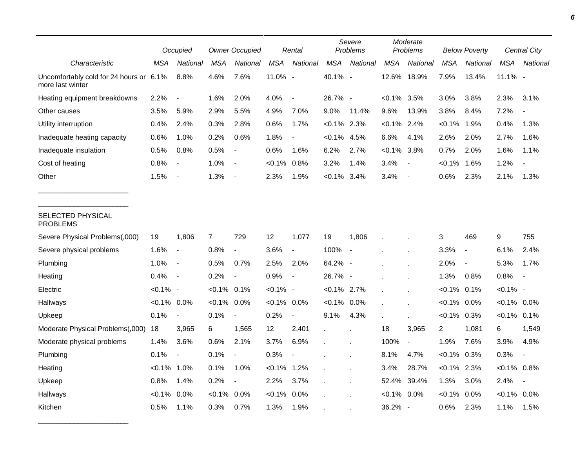|                                                             | Occupied       |                          | <b>Owner Occupied</b> |                          |             | Rental                   |                | Severe<br>Problems       |                | Moderate<br>Problems     | <b>Below Poverty</b> |                          | Central City   |                |
|-------------------------------------------------------------|----------------|--------------------------|-----------------------|--------------------------|-------------|--------------------------|----------------|--------------------------|----------------|--------------------------|----------------------|--------------------------|----------------|----------------|
| Characteristic                                              | MSA            | National                 | <b>MSA</b>            | National                 | <b>MSA</b>  | National                 | <b>MSA</b>     | National                 | <b>MSA</b>     | National                 | <b>MSA</b>           | National                 | <b>MSA</b>     | National       |
| Uncomfortably cold for 24 hours or 6.1%<br>more last winter |                | 8.8%                     | 4.6%                  | 7.6%                     | 11.0% -     |                          | 40.1% -        |                          | 12.6%          | 18.9%                    | 7.9%                 | 13.4%                    | $11.1\%$ -     |                |
| Heating equipment breakdowns                                | 2.2%           |                          | 1.6%                  | 2.0%                     | 4.0%        | $\overline{\phantom{a}}$ | 26.7% -        |                          | $< 0.1\%$ 3.5% |                          | 3.0%                 | 3.8%                     | 2.3%           | 3.1%           |
| Other causes                                                | 3.5%           | 5.9%                     | 2.9%                  | 5.5%                     | 4.9%        | 7.0%                     | 9.0%           | 11.4%                    | 9.6%           | 13.9%                    | 3.8%                 | 8.4%                     | 7.2%           |                |
| Utility interruption                                        | 0.4%           | 2.4%                     | 0.3%                  | 2.8%                     | 0.6%        | 1.7%                     | $< 0.1\%$ 2.3% |                          | $< 0.1\%$ 2.4% |                          | $< 0.1\%$            | 1.9%                     | 0.4%           | 1.3%           |
| Inadequate heating capacity                                 | 0.6%           | 1.0%                     | 0.2%                  | 0.6%                     | 1.8%        | $\overline{\phantom{a}}$ | $< 0.1\%$ 4.5% |                          | 6.6%           | 4.1%                     | 2.6%                 | 2.0%                     | 2.7%           | 1.6%           |
| Inadequate insulation                                       | 0.5%           | 0.8%                     | 0.5%                  | $\overline{\phantom{a}}$ | 0.6%        | 1.6%                     | 6.2%           | 2.7%                     | $< 0.1\%$      | 3.8%                     | 0.7%                 | 2.0%                     | 1.6%           | 1.1%           |
| Cost of heating                                             | 0.8%           | $\overline{\phantom{a}}$ | 1.0%                  | $\overline{a}$           | $< 0.1\%$   | 0.8%                     | 3.2%           | 1.4%                     | 3.4%           | $\blacksquare$           | $< 0.1\%$            | 1.6%                     | 1.2%           |                |
| Other                                                       | 1.5%           | $\blacksquare$           | 1.3%                  |                          | 2.3%        | 1.9%                     | $< 0.1\%$      | 3.4%                     | 3.4%           | $\overline{\phantom{a}}$ | 0.6%                 | 2.3%                     | 2.1%           | 1.3%           |
| SELECTED PHYSICAL<br><b>PROBLEMS</b>                        |                |                          |                       |                          |             |                          |                |                          |                |                          |                      |                          |                |                |
| Severe Physical Problems(,000)                              | 19             | 1,806                    | $\overline{7}$        | 729                      | 12          | 1,077                    | 19             | 1,806                    |                |                          | 3                    | 469                      | 9              | 755            |
| Severe physical problems                                    | 1.6%           | $\blacksquare$           | 0.8%                  | $\overline{\phantom{a}}$ | 3.6%        | $\overline{\phantom{a}}$ | 100%           | $\overline{\phantom{a}}$ |                |                          | 3.3%                 | $\overline{\phantom{a}}$ | 6.1%           | 2.4%           |
| Plumbing                                                    | 1.0%           | $\overline{\phantom{a}}$ | 0.5%                  | 0.7%                     | 2.5%        | 2.0%                     | 64.2% -        |                          |                |                          | 2.0%                 | $\overline{\phantom{a}}$ | 5.3%           | 1.7%           |
| Heating                                                     | 0.4%           | $\overline{\phantom{a}}$ | 0.2%                  | $\overline{\phantom{a}}$ | 0.9%        | $\blacksquare$           | 26.7% -        |                          |                |                          | 1.3%                 | 0.8%                     | 0.8%           | $\blacksquare$ |
| Electric                                                    | $< 0.1\%$ -    |                          | $< 0.1\%$             | 0.1%                     | $< 0.1\%$ - |                          | $< 0.1\%$ 2.7% |                          |                | $\mathbf{r}$             | $< 0.1\%$            | 0.1%                     | $< 0.1\%$ -    |                |
| Hallways                                                    | $< 0.1\%$ 0.0% |                          | $< 0.1\%$             | $0.0\%$                  | $< 0.1\%$   | 0.0%                     | $< 0.1\%$ 0.0% |                          |                |                          | $< 0.1\%$            | $0.0\%$                  | $< 0.1\%$ 0.0% |                |
| Upkeep                                                      | 0.1%           | $\blacksquare$           | 0.1%                  | $\overline{\phantom{a}}$ | 0.2%        | $\blacksquare$           | 9.1%           | 4.3%                     |                |                          | $< 0.1\%$ 0.3%       |                          | $< 0.1\%$ 0.1% |                |
| Moderate Physical Problems(,000)                            | 18             | 3,965                    | 6                     | 1,565                    | 12          | 2,401                    |                |                          | 18             | 3,965                    | $\overline{c}$       | 1,081                    | 6              | 1,549          |
| Moderate physical problems                                  | 1.4%           | 3.6%                     | 0.6%                  | 2.1%                     | 3.7%        | 6.9%                     |                |                          | 100%           | $\blacksquare$           | 1.9%                 | 7.6%                     | 3.9%           | 4.9%           |
| Plumbing                                                    | 0.1%           | $\overline{\phantom{a}}$ | 0.1%                  | $\frac{1}{2}$            | 0.3%        |                          |                |                          | 8.1%           | 4.7%                     | $< 0.1\%$ 0.3%       |                          | 0.3%           |                |
| Heating                                                     | $< 0.1\%$      | 1.0%                     | 0.1%                  | 1.0%                     | $< 0.1\%$   | 1.2%                     |                |                          | 3.4%           | 28.7%                    | $< 0.1\%$ 2.3%       |                          | $< 0.1\%$      | 0.8%           |
| Upkeep                                                      | 0.8%           | 1.4%                     | 0.2%                  | $\blacksquare$           | 2.2%        | 3.7%                     |                |                          | 52.4%          | 39.4%                    | 1.3%                 | 3.0%                     | 2.4%           |                |
| Hallways                                                    | $< 0.1\%$      | 0.0%                     | $< 0.1\%$             | 0.0%                     | $< 0.1\%$   | 0.0%                     |                |                          | $< 0.1\%$ 0.0% |                          | <0.1%                | 0.0%                     | $< 0.1\%$ 0.0% |                |
| Kitchen                                                     | 0.5%           | 1.1%                     | 0.3%                  | 0.7%                     | 1.3%        | 1.9%                     |                |                          | 36.2%          | $\overline{\phantom{a}}$ | 0.6%                 | 2.3%                     | 1.1%           | 1.5%           |

\_\_\_\_\_\_\_\_\_\_\_\_\_\_\_\_\_\_\_\_\_\_\_